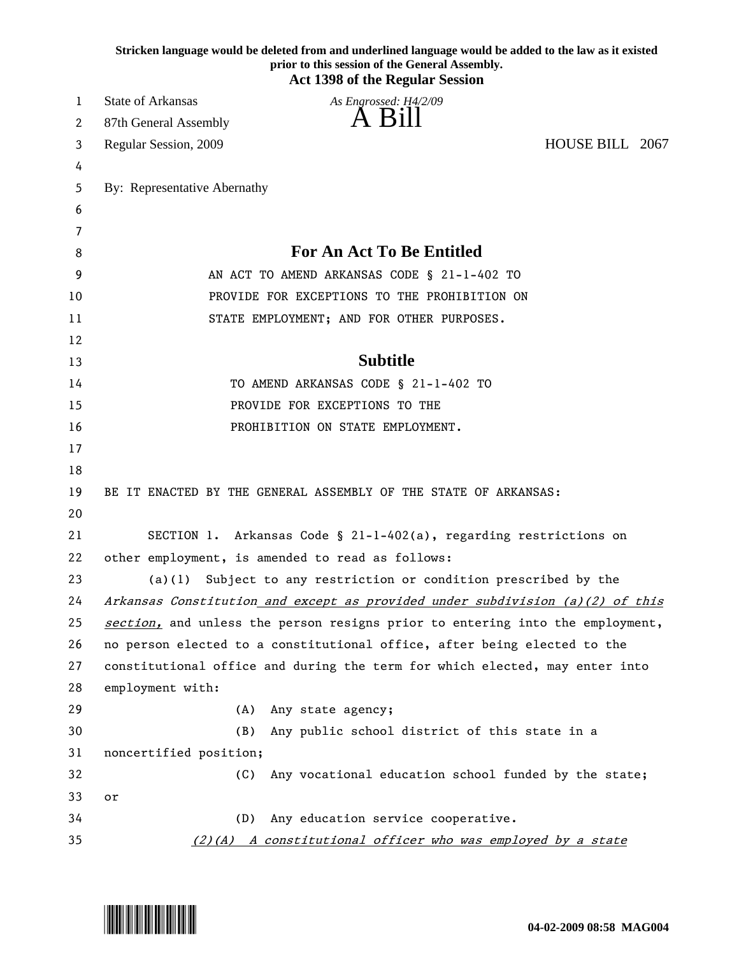|    | Stricken language would be deleted from and underlined language would be added to the law as it existed<br>prior to this session of the General Assembly.<br><b>Act 1398 of the Regular Session</b> |
|----|-----------------------------------------------------------------------------------------------------------------------------------------------------------------------------------------------------|
| 1  | <b>State of Arkansas</b><br>As Engrossed: H4/2/09                                                                                                                                                   |
| 2  | A Bill<br>87th General Assembly                                                                                                                                                                     |
| 3  | HOUSE BILL 2067<br>Regular Session, 2009                                                                                                                                                            |
| 4  |                                                                                                                                                                                                     |
| 5  | By: Representative Abernathy                                                                                                                                                                        |
| 6  |                                                                                                                                                                                                     |
| 7  |                                                                                                                                                                                                     |
| 8  | <b>For An Act To Be Entitled</b>                                                                                                                                                                    |
| 9  | AN ACT TO AMEND ARKANSAS CODE § 21-1-402 TO                                                                                                                                                         |
| 10 | PROVIDE FOR EXCEPTIONS TO THE PROHIBITION ON                                                                                                                                                        |
| 11 | STATE EMPLOYMENT; AND FOR OTHER PURPOSES.                                                                                                                                                           |
| 12 |                                                                                                                                                                                                     |
| 13 | <b>Subtitle</b>                                                                                                                                                                                     |
| 14 | TO AMEND ARKANSAS CODE § 21-1-402 TO                                                                                                                                                                |
| 15 | PROVIDE FOR EXCEPTIONS TO THE                                                                                                                                                                       |
| 16 | PROHIBITION ON STATE EMPLOYMENT.                                                                                                                                                                    |
| 17 |                                                                                                                                                                                                     |
| 18 |                                                                                                                                                                                                     |
| 19 | BE IT ENACTED BY THE GENERAL ASSEMBLY OF THE STATE OF ARKANSAS:                                                                                                                                     |
| 20 |                                                                                                                                                                                                     |
| 21 | SECTION 1. Arkansas Code § 21-1-402(a), regarding restrictions on                                                                                                                                   |
| 22 | other employment, is amended to read as follows:                                                                                                                                                    |
| 23 | Subject to any restriction or condition prescribed by the<br>(a)(1)                                                                                                                                 |
| 24 | Arkansas Constitution and except as provided under subdivision (a)(2) of this                                                                                                                       |
| 25 | section, and unless the person resigns prior to entering into the employment,                                                                                                                       |
| 26 | no person elected to a constitutional office, after being elected to the                                                                                                                            |
| 27 | constitutional office and during the term for which elected, may enter into                                                                                                                         |
| 28 | employment with:                                                                                                                                                                                    |
| 29 | (A)<br>Any state agency;                                                                                                                                                                            |
| 30 | (B)<br>Any public school district of this state in a                                                                                                                                                |
| 31 | noncertified position;                                                                                                                                                                              |
| 32 | Any vocational education school funded by the state;<br>(C)                                                                                                                                         |
| 33 | or                                                                                                                                                                                                  |
| 34 | Any education service cooperative.<br>(D)                                                                                                                                                           |
| 35 | $(2)(A)$ A constitutional officer who was employed by a state                                                                                                                                       |

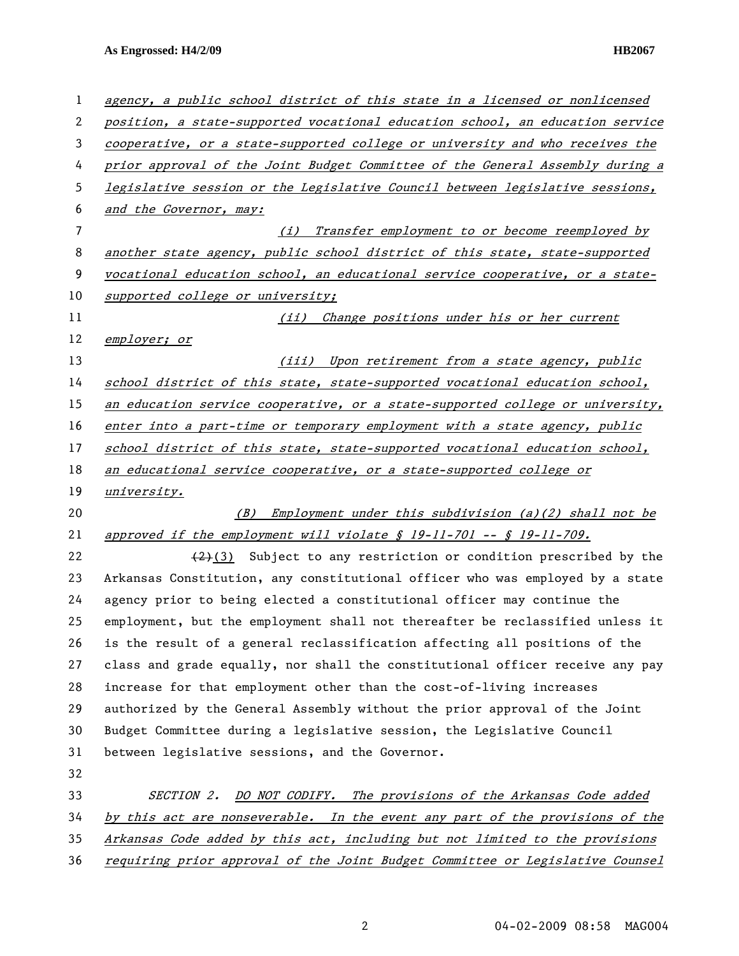**As Engrossed: H4/2/09 HB2067** 

| $\mathbf{1}$ | agency, a public school district of this state in a licensed or nonlicensed     |
|--------------|---------------------------------------------------------------------------------|
| 2            | position, a state-supported vocational education school, an education service   |
| 3            | cooperative, or a state-supported college or university and who receives the    |
| 4            | prior approval of the Joint Budget Committee of the General Assembly during a   |
| 5            | legislative session or the Legislative Council between legislative sessions,    |
| 6            | and the Governor, may:                                                          |
| 7            | Transfer employment to or become reemployed by<br>(i)                           |
| 8            | another state agency, public school district of this state, state-supported     |
| 9            | vocational education school, an educational service cooperative, or a state-    |
| 10           | supported college or university;                                                |
| 11           | (ii) Change positions under his or her current                                  |
| 12           | employer; or                                                                    |
| 13           | (iii) Upon retirement from a state agency, public                               |
| 14           | school district of this state, state-supported vocational education school,     |
| 15           | an education service cooperative, or a state-supported college or university,   |
| 16           | enter into a part-time or temporary employment with a state agency, public      |
| 17           | school district of this state, state-supported vocational education school,     |
| 18           | an educational service cooperative, or a state-supported college or             |
| 19           | university.                                                                     |
| 20           | Employment under this subdivision (a)(2) shall not be<br>(B)                    |
| 21           | approved if the employment will violate $\oint$ 19-11-701 -- $\oint$ 19-11-709. |
| 22           | $(2)(3)$ Subject to any restriction or condition prescribed by the              |
| 23           | Arkansas Constitution, any constitutional officer who was employed by a state   |
| 24           | agency prior to being elected a constitutional officer may continue the         |
| 25           | employment, but the employment shall not thereafter be reclassified unless it   |
| 26           | is the result of a general reclassification affecting all positions of the      |
| 27           | class and grade equally, nor shall the constitutional officer receive any pay   |
| 28           | increase for that employment other than the cost-of-living increases            |
| 29           | authorized by the General Assembly without the prior approval of the Joint      |
| 30           | Budget Committee during a legislative session, the Legislative Council          |
| 31           | between legislative sessions, and the Governor.                                 |
| 32           |                                                                                 |
| 33           | DO NOT CODIFY. The provisions of the Arkansas Code added<br><i>SECTION 2.</i>   |
| 34           | by this act are nonseverable. In the event any part of the provisions of the    |
| 35           | Arkansas Code added by this act, including but not limited to the provisions    |
| 36           | requiring prior approval of the Joint Budget Committee or Legislative Counsel   |